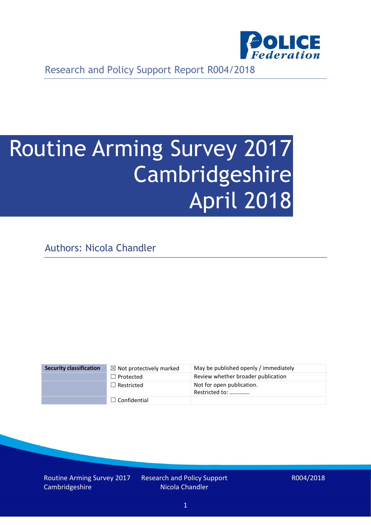

Research and Policy Support Report R004/2018

# Routine Arming Survey 2017 Cambridgeshire April 2018

Authors: Nicola Chandler

| <b>Security classification</b> | $\boxtimes$ Not protectively marked | May be published openly / immediately       |
|--------------------------------|-------------------------------------|---------------------------------------------|
|                                | $\Box$ Protected                    | Review whether broader publication          |
|                                | $\Box$ Restricted                   | Not for open publication.<br>Restricted to: |
|                                | $\Box$ Confidential                 |                                             |

Routine Arming Survey 2017 Cambridgeshire

Research and Policy Support Nicola Chandler

R004/2018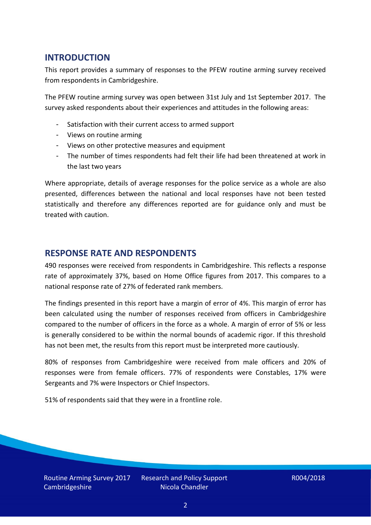## **INTRODUCTION**

This report provides a summary of responses to the PFEW routine arming survey received from respondents in Cambridgeshire.

The PFEW routine arming survey was open between 31st July and 1st September 2017. The survey asked respondents about their experiences and attitudes in the following areas:

- Satisfaction with their current access to armed support
- Views on routine arming
- Views on other protective measures and equipment
- The number of times respondents had felt their life had been threatened at work in the last two years

Where appropriate, details of average responses for the police service as a whole are also presented, differences between the national and local responses have not been tested statistically and therefore any differences reported are for guidance only and must be treated with caution.

### **RESPONSE RATE AND RESPONDENTS**

490 responses were received from respondents in Cambridgeshire. This reflects a response rate of approximately 37%, based on Home Office figures from 2017. This compares to a national response rate of 27% of federated rank members.

The findings presented in this report have a margin of error of 4%. This margin of error has been calculated using the number of responses received from officers in Cambridgeshire compared to the number of officers in the force as a whole. A margin of error of 5% or less is generally considered to be within the normal bounds of academic rigor. If this threshold has not been met, the results from this report must be interpreted more cautiously.

80% of responses from Cambridgeshire were received from male officers and 20% of responses were from female officers. 77% of respondents were Constables, 17% were Sergeants and 7% were Inspectors or Chief Inspectors.

51% of respondents said that they were in a frontline role.

Routine Arming Survey 2017 Cambridgeshire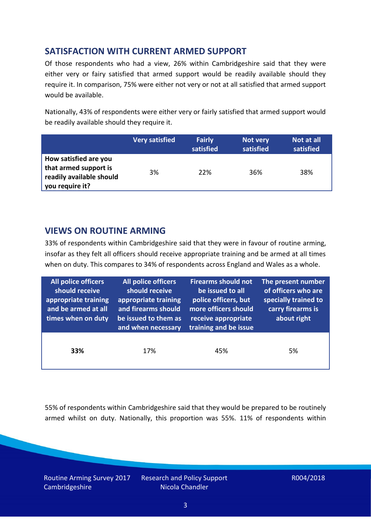# **SATISFACTION WITH CURRENT ARMED SUPPORT**

Of those respondents who had a view, 26% within Cambridgeshire said that they were either very or fairy satisfied that armed support would be readily available should they require it. In comparison, 75% were either not very or not at all satisfied that armed support would be available.

Nationally, 43% of respondents were either very or fairly satisfied that armed support would be readily available should they require it.

|                                                                                               | <b>Very satisfied</b> | <b>Fairly</b><br>satisfied | Not very<br>satisfied | Not at all<br>satisfied |
|-----------------------------------------------------------------------------------------------|-----------------------|----------------------------|-----------------------|-------------------------|
| How satisfied are you<br>that armed support is<br>readily available should<br>you require it? | 3%                    | 22%                        | 36%                   | 38%                     |

## **VIEWS ON ROUTINE ARMING**

33% of respondents within Cambridgeshire said that they were in favour of routine arming, insofar as they felt all officers should receive appropriate training and be armed at all times when on duty. This compares to 34% of respondents across England and Wales as a whole.

| All police officers<br>should receive<br>appropriate training<br>and be armed at all<br>times when on duty | All police officers<br>should receive<br>appropriate training<br>and firearms should<br>be issued to them as<br>and when necessary | <b>Firearms should not</b><br>be issued to all<br>police officers, but<br>more officers should<br>receive appropriate<br>training and be issue | The present number<br>of officers who are<br>specially trained to<br>carry firearms is<br>about right |
|------------------------------------------------------------------------------------------------------------|------------------------------------------------------------------------------------------------------------------------------------|------------------------------------------------------------------------------------------------------------------------------------------------|-------------------------------------------------------------------------------------------------------|
| 33%                                                                                                        | 17%                                                                                                                                | 45%                                                                                                                                            | 5%                                                                                                    |

55% of respondents within Cambridgeshire said that they would be prepared to be routinely armed whilst on duty. Nationally, this proportion was 55%. 11% of respondents within

Routine Arming Survey 2017 Cambridgeshire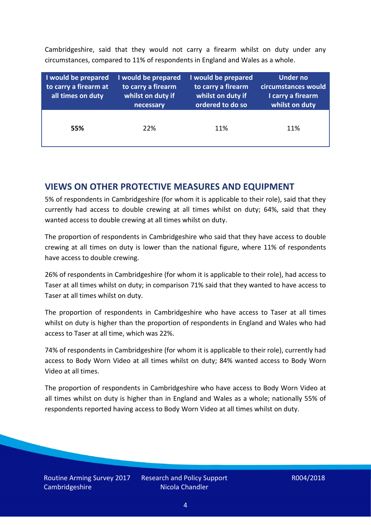Cambridgeshire, said that they would not carry a firearm whilst on duty under any circumstances, compared to 11% of respondents in England and Wales as a whole.

| I would be prepared<br>to carry a firearm at<br>all times on duty | I would be prepared<br>to carry a firearm<br>whilst on duty if<br>necessary | I would be prepared<br>to carry a firearm<br>whilst on duty if<br>ordered to do so | <b>Under no</b><br>circumstances would<br>I carry a firearm<br>whilst on duty |
|-------------------------------------------------------------------|-----------------------------------------------------------------------------|------------------------------------------------------------------------------------|-------------------------------------------------------------------------------|
| 55%                                                               | 22%                                                                         | 11%                                                                                | 11%                                                                           |

### **VIEWS ON OTHER PROTECTIVE MEASURES AND EQUIPMENT**

5% of respondents in Cambridgeshire (for whom it is applicable to their role), said that they currently had access to double crewing at all times whilst on duty; 64%, said that they wanted access to double crewing at all times whilst on duty.

The proportion of respondents in Cambridgeshire who said that they have access to double crewing at all times on duty is lower than the national figure, where 11% of respondents have access to double crewing.

26% of respondents in Cambridgeshire (for whom it is applicable to their role), had access to Taser at all times whilst on duty; in comparison 71% said that they wanted to have access to Taser at all times whilst on duty.

The proportion of respondents in Cambridgeshire who have access to Taser at all times whilst on duty is higher than the proportion of respondents in England and Wales who had access to Taser at all time, which was 22%.

74% of respondents in Cambridgeshire (for whom it is applicable to their role), currently had access to Body Worn Video at all times whilst on duty; 84% wanted access to Body Worn Video at all times.

The proportion of respondents in Cambridgeshire who have access to Body Worn Video at all times whilst on duty is higher than in England and Wales as a whole; nationally 55% of respondents reported having access to Body Worn Video at all times whilst on duty.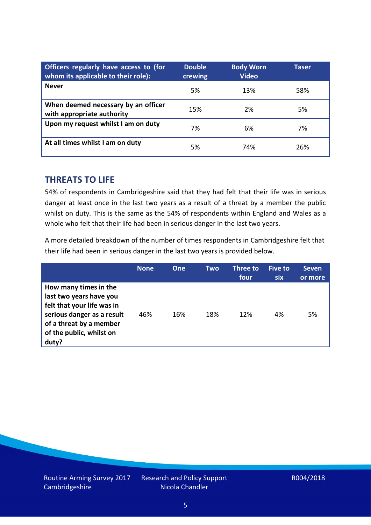| Officers regularly have access to (for<br>whom its applicable to their role): | <b>Double</b><br>crewing | <b>Body Worn</b><br><b>Video</b> | Taser |
|-------------------------------------------------------------------------------|--------------------------|----------------------------------|-------|
| <b>Never</b>                                                                  | 5%                       | 13%                              | 58%   |
| When deemed necessary by an officer<br>with appropriate authority             | 15%                      | 2%                               | 5%    |
| Upon my request whilst I am on duty                                           | 7%                       | 6%                               | 7%    |
| At all times whilst I am on duty                                              | 5%                       | 74%                              | 26%   |

#### **THREATS TO LIFE**

54% of respondents in Cambridgeshire said that they had felt that their life was in serious danger at least once in the last two years as a result of a threat by a member the public whilst on duty. This is the same as the 54% of respondents within England and Wales as a whole who felt that their life had been in serious danger in the last two years.

A more detailed breakdown of the number of times respondents in Cambridgeshire felt that their life had been in serious danger in the last two years is provided below.

|                                                                                                                                                                              | <b>None</b> | <b>One</b> | Two | Three to<br>four | Five to<br><b>six</b> | <b>Seven</b><br>or more |
|------------------------------------------------------------------------------------------------------------------------------------------------------------------------------|-------------|------------|-----|------------------|-----------------------|-------------------------|
| How many times in the<br>last two years have you<br>felt that your life was in<br>serious danger as a result<br>of a threat by a member<br>of the public, whilst on<br>duty? | 46%         | 16%        | 18% | 12%              | 4%                    | 5%                      |